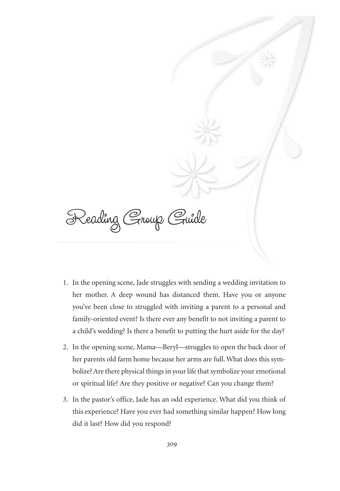Reading Group Guide

- 1. In the opening scene, Jade struggles with sending a wedding invitation to her mother. A deep wound has distanced them. Have you or anyone you've been close to struggled with inviting a parent to a personal and family-oriented event? Is there ever any benefit to not inviting a parent to a child's wedding? Is there a benefit to putting the hurt aside for the day?
- 2. In the opening scene, Mama—Beryl—struggles to open the back door of her parents old farm home because her arms are full. What does this symbolize? Are there physical things in your life that symbolize your emotional or spiritual life? Are they positive or negative? Can you change them?
- 3. In the pastor's office, Jade has an odd experience. What did you think of this experience? Have you ever had something similar happen? How long did it last? How did you respond?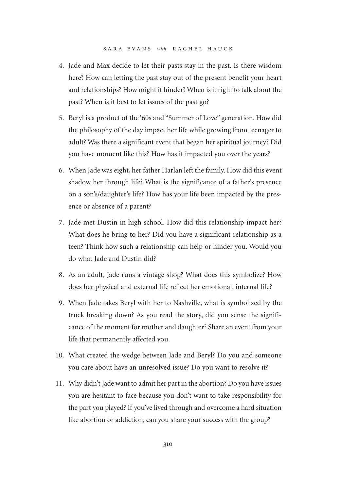- 4. Jade and Max decide to let their pasts stay in the past. Is there wisdom here? How can letting the past stay out of the present benefit your heart and relationships? How might it hinder? When is it right to talk about the past? When is it best to let issues of the past go?
- 5. Beryl is a product of the '60s and "Summer of Love" generation. How did the philosophy of the day impact her life while growing from teenager to adult? Was there a significant event that began her spiritual journey? Did you have moment like this? How has it impacted you over the years?
- 6. When Jade was eight, her father Harlan left the family. How did this event shadow her through life? What is the significance of a father's presence on a son's/daughter's life? How has your life been impacted by the presence or absence of a parent?
- 7. Jade met Dustin in high school. How did this relationship impact her? What does he bring to her? Did you have a significant relationship as a teen? Think how such a relationship can help or hinder you. Would you do what Jade and Dustin did?
- 8. As an adult, Jade runs a vintage shop? What does this symbolize? How does her physical and external life reflect her emotional, internal life?
- 9. When Jade takes Beryl with her to Nashville, what is symbolized by the truck breaking down? As you read the story, did you sense the significance of the moment for mother and daughter? Share an event from your life that permanently affected you.
- 10. What created the wedge between Jade and Beryl? Do you and someone you care about have an unresolved issue? Do you want to resolve it?
- 11. Why didn't Jade want to admit her part in the abortion? Do you have issues you are hesitant to face because you don't want to take responsibility for the part you played? If you've lived through and overcome a hard situation like abortion or addiction, can you share your success with the group?